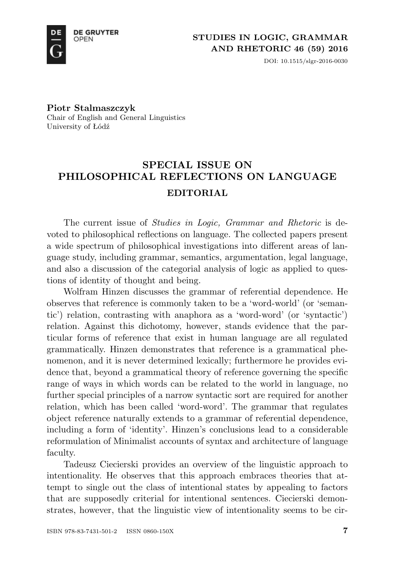

DOI: 10.1515/slgr-2016-0030

**Piotr Stalmaszczyk** Chair of English and General Linguistics University of Łódź

## **SPECIAL ISSUE ON PHILOSOPHICAL REFLECTIONS ON LANGUAGE EDITORIAL**

The current issue of *Studies in Logic, Grammar and Rhetoric* is devoted to philosophical reflections on language. The collected papers present a wide spectrum of philosophical investigations into different areas of language study, including grammar, semantics, argumentation, legal language, and also a discussion of the categorial analysis of logic as applied to questions of identity of thought and being.

Wolfram Hinzen discusses the grammar of referential dependence. He observes that reference is commonly taken to be a 'word-world' (or 'semantic') relation, contrasting with anaphora as a 'word-word' (or 'syntactic') relation. Against this dichotomy, however, stands evidence that the particular forms of reference that exist in human language are all regulated grammatically. Hinzen demonstrates that reference is a grammatical phenomenon, and it is never determined lexically; furthermore he provides evidence that, beyond a grammatical theory of reference governing the specific range of ways in which words can be related to the world in language, no further special principles of a narrow syntactic sort are required for another relation, which has been called 'word-word'. The grammar that regulates object reference naturally extends to a grammar of referential dependence, including a form of 'identity'. Hinzen's conclusions lead to a considerable reformulation of Minimalist accounts of syntax and architecture of language faculty.

Tadeusz Ciecierski provides an overview of the linguistic approach to intentionality. He observes that this approach embraces theories that attempt to single out the class of intentional states by appealing to factors that are supposedly criterial for intentional sentences. Ciecierski demonstrates, however, that the linguistic view of intentionality seems to be cir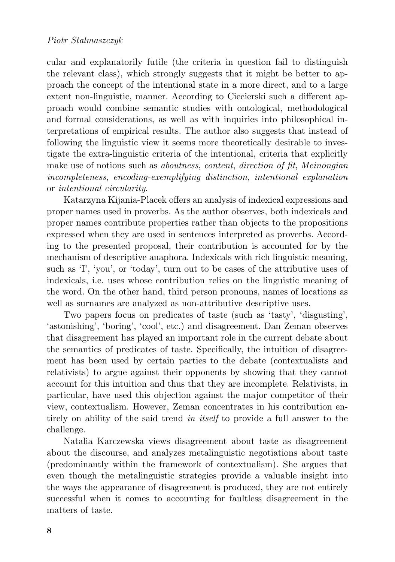cular and explanatorily futile (the criteria in question fail to distinguish the relevant class), which strongly suggests that it might be better to approach the concept of the intentional state in a more direct, and to a large extent non-linguistic, manner. According to Ciecierski such a different approach would combine semantic studies with ontological, methodological and formal considerations, as well as with inquiries into philosophical interpretations of empirical results. The author also suggests that instead of following the linguistic view it seems more theoretically desirable to investigate the extra-linguistic criteria of the intentional, criteria that explicitly make use of notions such as *aboutness*, *content*, *direction of fit*, *Meinongian incompleteness*, *encoding-exemplifying distinction*, *intentional explanation* or *intentional circularity*.

Katarzyna Kijania-Placek offers an analysis of indexical expressions and proper names used in proverbs. As the author observes, both indexicals and proper names contribute properties rather than objects to the propositions expressed when they are used in sentences interpreted as proverbs. According to the presented proposal, their contribution is accounted for by the mechanism of descriptive anaphora. Indexicals with rich linguistic meaning, such as 'I', 'you', or 'today', turn out to be cases of the attributive uses of indexicals, i.e. uses whose contribution relies on the linguistic meaning of the word. On the other hand, third person pronouns, names of locations as well as surnames are analyzed as non-attributive descriptive uses.

Two papers focus on predicates of taste (such as 'tasty', 'disgusting', 'astonishing', 'boring', 'cool', etc.) and disagreement. Dan Zeman observes that disagreement has played an important role in the current debate about the semantics of predicates of taste. Specifically, the intuition of disagreement has been used by certain parties to the debate (contextualists and relativists) to argue against their opponents by showing that they cannot account for this intuition and thus that they are incomplete. Relativists, in particular, have used this objection against the major competitor of their view, contextualism. However, Zeman concentrates in his contribution entirely on ability of the said trend *in itself* to provide a full answer to the challenge.

Natalia Karczewska views disagreement about taste as disagreement about the discourse, and analyzes metalinguistic negotiations about taste (predominantly within the framework of contextualism). She argues that even though the metalinguistic strategies provide a valuable insight into the ways the appearance of disagreement is produced, they are not entirely successful when it comes to accounting for faultless disagreement in the matters of taste.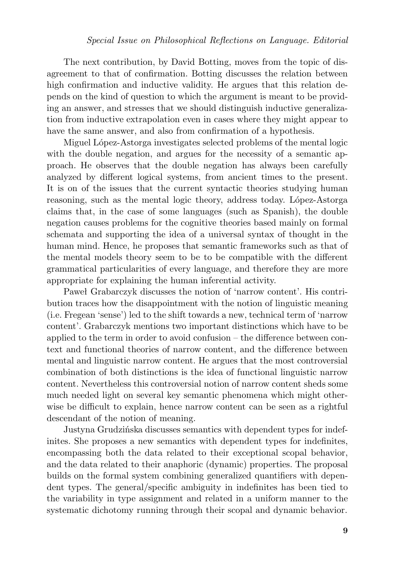The next contribution, by David Botting, moves from the topic of disagreement to that of confirmation. Botting discusses the relation between high confirmation and inductive validity. He argues that this relation depends on the kind of question to which the argument is meant to be providing an answer, and stresses that we should distinguish inductive generalization from inductive extrapolation even in cases where they might appear to have the same answer, and also from confirmation of a hypothesis.

Miguel López-Astorga investigates selected problems of the mental logic with the double negation, and argues for the necessity of a semantic approach. He observes that the double negation has always been carefully analyzed by different logical systems, from ancient times to the present. It is on of the issues that the current syntactic theories studying human reasoning, such as the mental logic theory, address today. López-Astorga claims that, in the case of some languages (such as Spanish), the double negation causes problems for the cognitive theories based mainly on formal schemata and supporting the idea of a universal syntax of thought in the human mind. Hence, he proposes that semantic frameworks such as that of the mental models theory seem to be to be compatible with the different grammatical particularities of every language, and therefore they are more appropriate for explaining the human inferential activity.

Paweł Grabarczyk discusses the notion of 'narrow content'. His contribution traces how the disappointment with the notion of linguistic meaning (i.e. Fregean 'sense') led to the shift towards a new, technical term of 'narrow content'. Grabarczyk mentions two important distinctions which have to be applied to the term in order to avoid confusion – the difference between context and functional theories of narrow content, and the difference between mental and linguistic narrow content. He argues that the most controversial combination of both distinctions is the idea of functional linguistic narrow content. Nevertheless this controversial notion of narrow content sheds some much needed light on several key semantic phenomena which might otherwise be difficult to explain, hence narrow content can be seen as a rightful descendant of the notion of meaning.

Justyna Grudzińska discusses semantics with dependent types for indefinites. She proposes a new semantics with dependent types for indefinites, encompassing both the data related to their exceptional scopal behavior, and the data related to their anaphoric (dynamic) properties. The proposal builds on the formal system combining generalized quantifiers with dependent types. The general/specific ambiguity in indefinites has been tied to the variability in type assignment and related in a uniform manner to the systematic dichotomy running through their scopal and dynamic behavior.